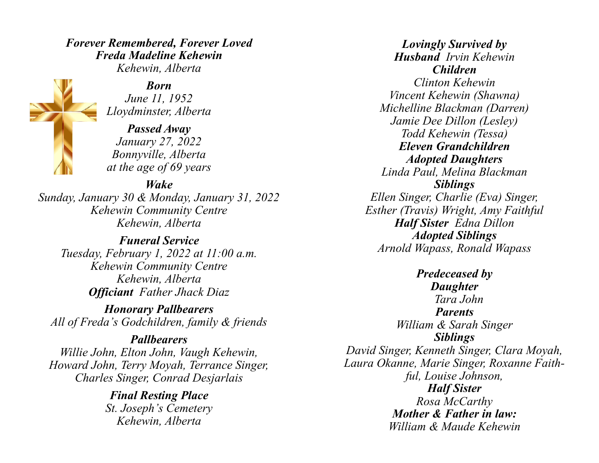## *Forever Remembered, Forever Loved Freda Madeline Kehewin Kehewin, Alberta*

*Born*

*June 11, 1952 Lloydminster, Alberta*

*Passed Away January 27, 2022 Bonnyville, Alberta at the age of 69 years*

## *Wake*

*Sunday, January 30 & Monday, January 31, 2022 Kehewin Community Centre Kehewin, Alberta*

*Funeral Service Tuesday, February 1, 2022 at 11:00 a.m. Kehewin Community Centre Kehewin, Alberta Officiant Father Jhack Diaz*

*Honorary Pallbearers All of Freda's Godchildren, family & friends*

*Pallbearers Willie John, Elton John, Vaugh Kehewin, Howard John, Terry Moyah, Terrance Singer, Charles Singer, Conrad Desjarlais*

> *Final Resting Place St. Joseph's Cemetery Kehewin, Alberta*

*Lovingly Survived by Husband Irvin Kehewin Children Clinton Kehewin Vincent Kehewin (Shawna) Michelline Blackman (Darren) Jamie Dee Dillon (Lesley) Todd Kehewin (Tessa) Eleven Grandchildren Adopted Daughters Linda Paul, Melina Blackman Siblings Ellen Singer, Charlie (Eva) Singer, Esther (Travis) Wright, Amy Faithful Half Sister Edna Dillon Adopted Siblings Arnold Wapass, Ronald Wapass*

*Predeceased by Daughter Tara John Parents William & Sarah Singer Siblings David Singer, Kenneth Singer, Clara Moyah, Laura Okanne, Marie Singer, Roxanne Faithful, Louise Johnson, Half Sister Rosa McCarthy Mother & Father in law: William & Maude Kehewin*